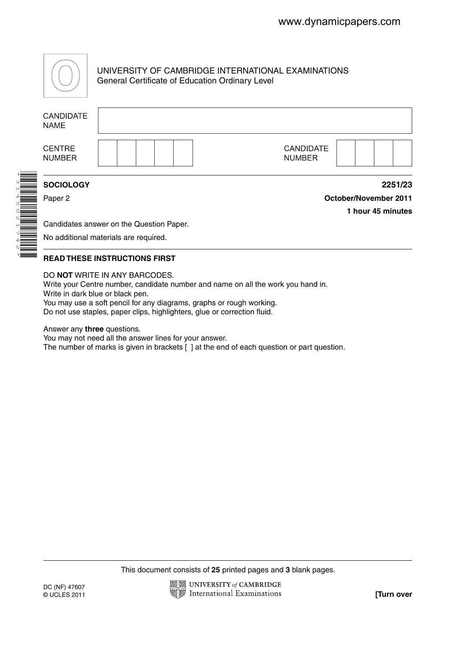

UNIVERSITY OF CAMBRIDGE INTERNATIONAL EXAMINATIONS General Certificate of Education Ordinary Level

| <b>CANDIDATE</b><br><b>NAME</b> |                                          |                                   |  |
|---------------------------------|------------------------------------------|-----------------------------------|--|
| <b>CENTRE</b><br><b>NUMBER</b>  |                                          | <b>CANDIDATE</b><br><b>NUMBER</b> |  |
|                                 |                                          |                                   |  |
| <b>SOCIOLOGY</b>                |                                          | 2251/23                           |  |
| Paper 2                         |                                          | October/November 2011             |  |
|                                 |                                          | 1 hour 45 minutes                 |  |
|                                 | Candidates answer on the Question Paper. |                                   |  |
|                                 | No additional materials are required.    |                                   |  |

### **READ THESE INSTRUCTIONS FIRST**

DO **NOT** WRITE IN ANY BARCODES.

Write your Centre number, candidate number and name on all the work you hand in.

Write in dark blue or black pen.

You may use a soft pencil for any diagrams, graphs or rough working.

Do not use staples, paper clips, highlighters, glue or correction fluid.

Answer any **three** questions.

You may not need all the answer lines for your answer.

The number of marks is given in brackets [ ] at the end of each question or part question.

This document consists of **25** printed pages and **3** blank pages.

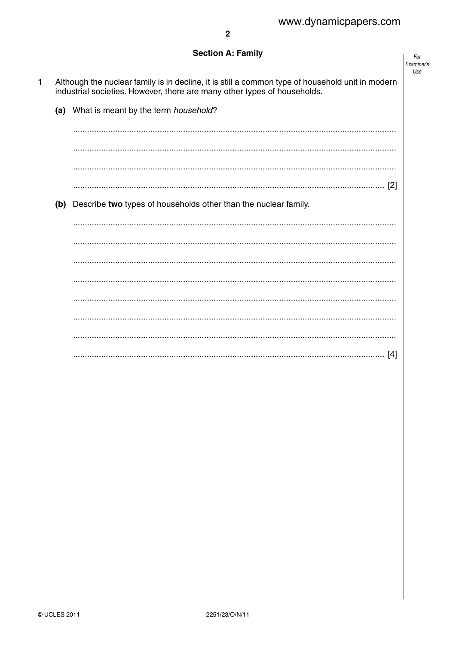Use

# **Section A: Family**

Examiner's Although the nuclear family is in decline, it is still a common type of household unit in modern  $\mathbf{1}$ industrial societies. However, there are many other types of households. (a) What is meant by the term household? (b) Describe two types of households other than the nuclear family.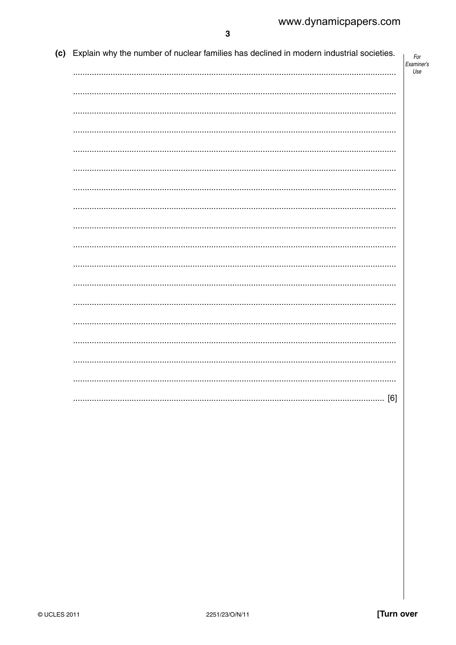| (c) Explain why the number of nuclear families has declined in modern industrial societies. | For<br>Examiner's |
|---------------------------------------------------------------------------------------------|-------------------|
|                                                                                             | Use               |
|                                                                                             |                   |
|                                                                                             |                   |
|                                                                                             |                   |
|                                                                                             |                   |
|                                                                                             |                   |
|                                                                                             |                   |
|                                                                                             |                   |
|                                                                                             |                   |
|                                                                                             |                   |
|                                                                                             |                   |
|                                                                                             |                   |
|                                                                                             |                   |
|                                                                                             |                   |
|                                                                                             |                   |
|                                                                                             |                   |
|                                                                                             |                   |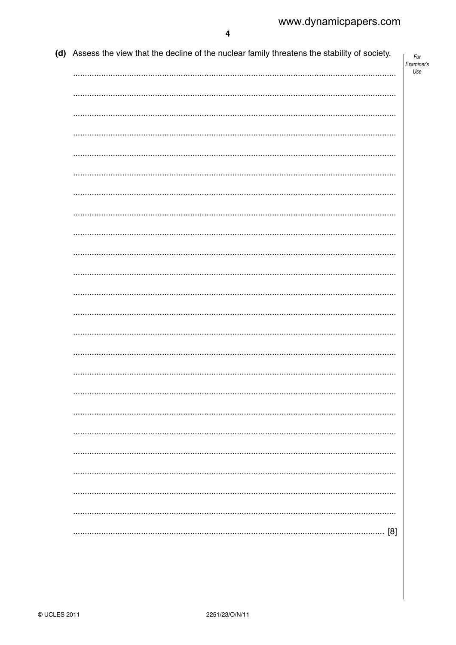| (d) Assess the view that the decline of the nuclear family threatens the stability of society. |
|------------------------------------------------------------------------------------------------|
|                                                                                                |
|                                                                                                |
|                                                                                                |
|                                                                                                |
|                                                                                                |
|                                                                                                |
|                                                                                                |
|                                                                                                |
|                                                                                                |
|                                                                                                |
|                                                                                                |
|                                                                                                |
|                                                                                                |
|                                                                                                |
|                                                                                                |
|                                                                                                |
|                                                                                                |
|                                                                                                |
|                                                                                                |
|                                                                                                |
|                                                                                                |
|                                                                                                |
|                                                                                                |
|                                                                                                |
|                                                                                                |
|                                                                                                |
| .                                                                                              |
|                                                                                                |
|                                                                                                |
|                                                                                                |
|                                                                                                |
|                                                                                                |
|                                                                                                |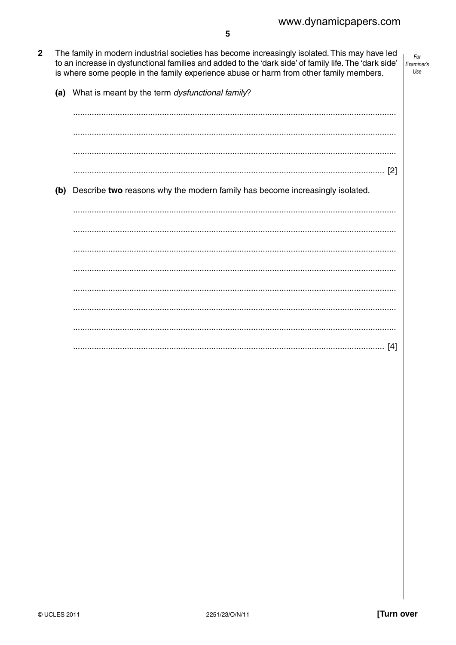Use

- $\overline{2}$ The family in modern industrial societies has become increasingly isolated. This may have led to an increase in dysfunctional families and added to the 'dark side' of family life. The 'dark side' Examiner's is where some people in the family experience abuse or harm from other family members.
	- (a) What is meant by the term dysfunctional family?

(b) Describe two reasons why the modern family has become increasingly isolated.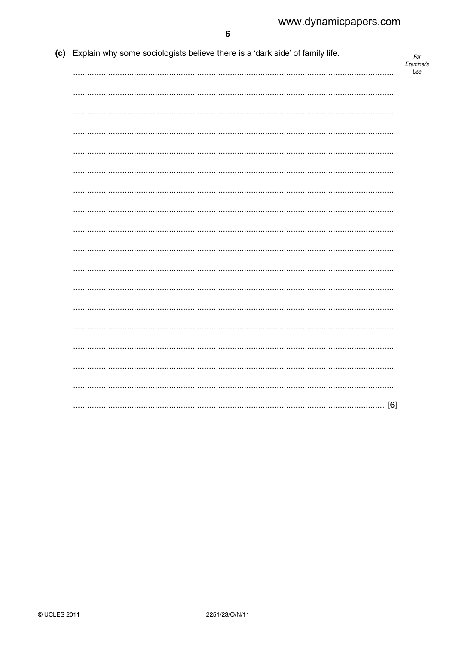| (c) Explain why some sociologists believe there is a 'dark side' of family life. |                   |
|----------------------------------------------------------------------------------|-------------------|
|                                                                                  | For<br>Examiner's |
|                                                                                  | Use               |
|                                                                                  |                   |
|                                                                                  |                   |
|                                                                                  |                   |
|                                                                                  |                   |
|                                                                                  |                   |
|                                                                                  |                   |
|                                                                                  |                   |
|                                                                                  |                   |
|                                                                                  |                   |
|                                                                                  |                   |
|                                                                                  |                   |
|                                                                                  |                   |
|                                                                                  |                   |
|                                                                                  |                   |
|                                                                                  |                   |
|                                                                                  |                   |
| [6]                                                                              |                   |

 $\bf 6$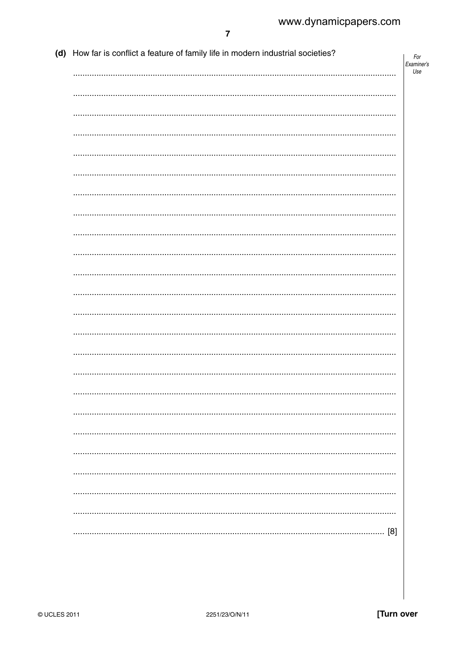| $\cdots$<br> |  |
|--------------|--|
|              |  |
|              |  |
|              |  |
|              |  |
|              |  |
|              |  |
|              |  |
|              |  |
|              |  |
|              |  |
|              |  |
|              |  |
|              |  |
|              |  |
|              |  |
|              |  |
|              |  |
|              |  |
|              |  |
|              |  |
|              |  |
|              |  |
|              |  |
|              |  |
|              |  |
|              |  |
|              |  |
|              |  |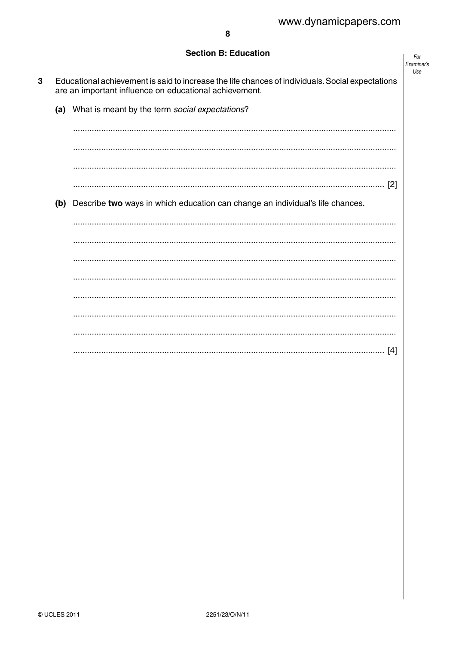#### **Section B: Education**

|   | <b>Section B: Education</b>                                                                                                                                | For<br>Examiner's<br>Use |
|---|------------------------------------------------------------------------------------------------------------------------------------------------------------|--------------------------|
| 3 | Educational achievement is said to increase the life chances of individuals. Social expectations<br>are an important influence on educational achievement. |                          |
|   | (a) What is meant by the term social expectations?                                                                                                         |                          |
|   |                                                                                                                                                            |                          |
|   |                                                                                                                                                            |                          |
|   | $\lceil 2 \rceil$                                                                                                                                          |                          |
|   | (b) Describe two ways in which education can change an individual's life chances.                                                                          |                          |
|   |                                                                                                                                                            |                          |
|   |                                                                                                                                                            |                          |
|   |                                                                                                                                                            |                          |
|   |                                                                                                                                                            |                          |
|   |                                                                                                                                                            |                          |
|   | [4]                                                                                                                                                        |                          |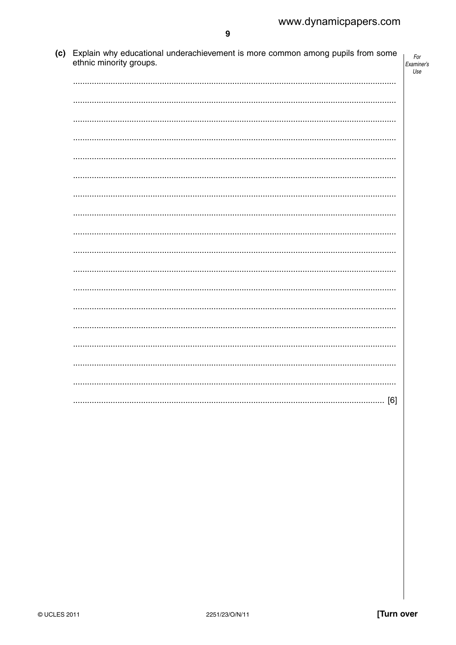| (c) Explain why educational underachievement is more common among pupils from some ethnic minority groups. | For<br>Examiner's<br>Use |
|------------------------------------------------------------------------------------------------------------|--------------------------|
|                                                                                                            |                          |
|                                                                                                            |                          |
|                                                                                                            |                          |
|                                                                                                            |                          |
|                                                                                                            |                          |
|                                                                                                            |                          |
|                                                                                                            |                          |
|                                                                                                            |                          |
|                                                                                                            |                          |
|                                                                                                            |                          |
|                                                                                                            |                          |
|                                                                                                            |                          |
|                                                                                                            |                          |
|                                                                                                            |                          |
|                                                                                                            |                          |
|                                                                                                            |                          |
|                                                                                                            |                          |
| [6]                                                                                                        |                          |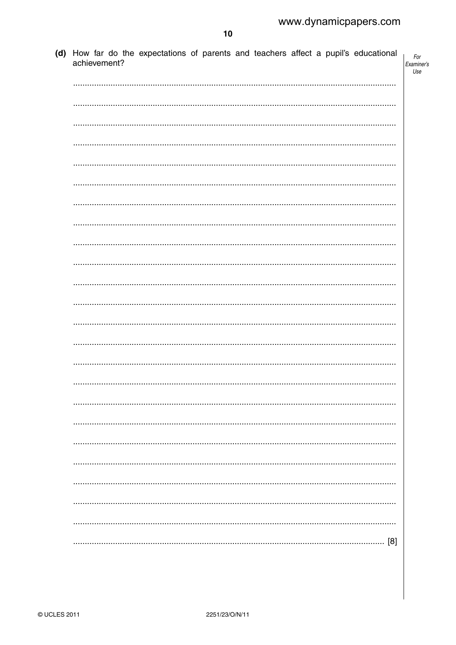| (d) How far do the expectations of parents and teachers affect a pupil's educational<br>achievement? |  |  |  |     | Examiner's |
|------------------------------------------------------------------------------------------------------|--|--|--|-----|------------|
|                                                                                                      |  |  |  |     |            |
|                                                                                                      |  |  |  |     |            |
|                                                                                                      |  |  |  |     |            |
|                                                                                                      |  |  |  |     |            |
|                                                                                                      |  |  |  |     |            |
|                                                                                                      |  |  |  |     |            |
|                                                                                                      |  |  |  |     |            |
|                                                                                                      |  |  |  |     |            |
|                                                                                                      |  |  |  |     |            |
|                                                                                                      |  |  |  |     |            |
|                                                                                                      |  |  |  |     |            |
|                                                                                                      |  |  |  |     |            |
|                                                                                                      |  |  |  |     |            |
|                                                                                                      |  |  |  |     |            |
|                                                                                                      |  |  |  |     |            |
|                                                                                                      |  |  |  |     |            |
|                                                                                                      |  |  |  |     |            |
|                                                                                                      |  |  |  |     |            |
|                                                                                                      |  |  |  |     |            |
|                                                                                                      |  |  |  |     |            |
|                                                                                                      |  |  |  |     |            |
|                                                                                                      |  |  |  |     |            |
|                                                                                                      |  |  |  |     |            |
|                                                                                                      |  |  |  | [8] |            |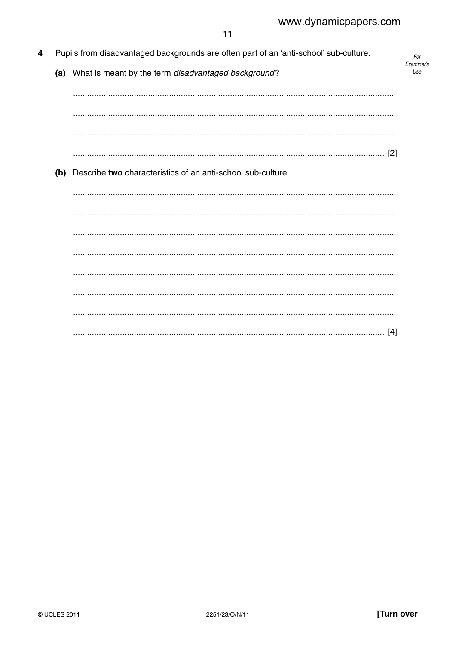| Pupils from disadvantaged backgrounds are often part of an 'anti-school' sub-culture.<br>For |                                                             |                   |  |  |  |
|----------------------------------------------------------------------------------------------|-------------------------------------------------------------|-------------------|--|--|--|
| (a)                                                                                          | What is meant by the term disadvantaged background?         | Examiner's<br>Use |  |  |  |
|                                                                                              |                                                             |                   |  |  |  |
|                                                                                              |                                                             |                   |  |  |  |
|                                                                                              |                                                             |                   |  |  |  |
|                                                                                              |                                                             |                   |  |  |  |
| (b)                                                                                          | Describe two characteristics of an anti-school sub-culture. |                   |  |  |  |
|                                                                                              |                                                             |                   |  |  |  |
|                                                                                              |                                                             |                   |  |  |  |
|                                                                                              |                                                             |                   |  |  |  |
|                                                                                              |                                                             |                   |  |  |  |
|                                                                                              |                                                             |                   |  |  |  |
|                                                                                              |                                                             |                   |  |  |  |
|                                                                                              |                                                             |                   |  |  |  |
|                                                                                              | [4]                                                         |                   |  |  |  |

 $\overline{\mathbf{4}}$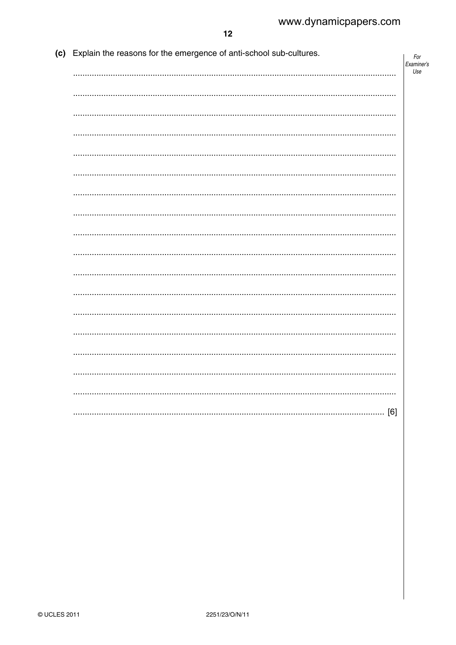| (c) Explain the reasons for the emergence of anti-school sub-cultures. | For        |
|------------------------------------------------------------------------|------------|
|                                                                        | Examiner's |
|                                                                        | Use        |
|                                                                        |            |
|                                                                        |            |
|                                                                        |            |
|                                                                        |            |
|                                                                        |            |
|                                                                        |            |
|                                                                        |            |
|                                                                        |            |
|                                                                        |            |
|                                                                        |            |
|                                                                        |            |
|                                                                        |            |
|                                                                        |            |
|                                                                        |            |
|                                                                        |            |
|                                                                        |            |
| [6]                                                                    |            |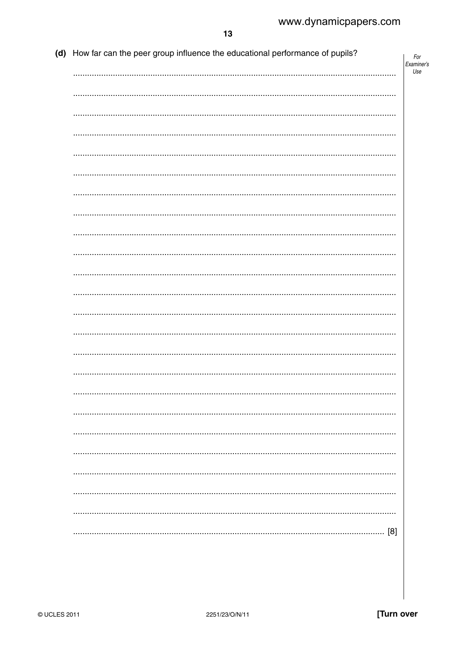|     |  |  |  | Examiner's |
|-----|--|--|--|------------|
|     |  |  |  |            |
|     |  |  |  |            |
|     |  |  |  |            |
|     |  |  |  |            |
|     |  |  |  |            |
|     |  |  |  |            |
|     |  |  |  |            |
|     |  |  |  |            |
|     |  |  |  |            |
|     |  |  |  |            |
|     |  |  |  |            |
|     |  |  |  |            |
|     |  |  |  |            |
|     |  |  |  |            |
|     |  |  |  |            |
|     |  |  |  |            |
|     |  |  |  |            |
|     |  |  |  |            |
|     |  |  |  |            |
|     |  |  |  |            |
|     |  |  |  |            |
|     |  |  |  |            |
|     |  |  |  |            |
|     |  |  |  |            |
|     |  |  |  |            |
|     |  |  |  |            |
|     |  |  |  |            |
|     |  |  |  |            |
|     |  |  |  |            |
|     |  |  |  |            |
|     |  |  |  |            |
|     |  |  |  |            |
|     |  |  |  |            |
| . . |  |  |  |            |
|     |  |  |  |            |
|     |  |  |  |            |
|     |  |  |  |            |
|     |  |  |  |            |
|     |  |  |  |            |
|     |  |  |  |            |
|     |  |  |  |            |
|     |  |  |  |            |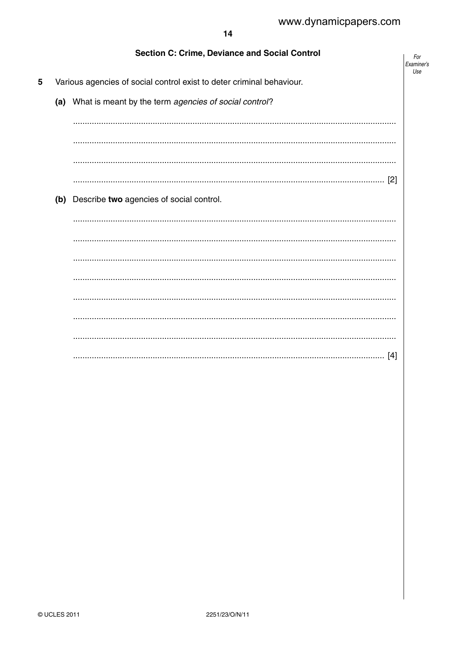|     | <b>Section C: Crime, Deviance and Social Control</b>                  |
|-----|-----------------------------------------------------------------------|
|     | Various agencies of social control exist to deter criminal behaviour. |
| (a) | What is meant by the term agencies of social control?                 |
|     |                                                                       |
|     |                                                                       |
|     |                                                                       |
|     |                                                                       |
| (b) | Describe two agencies of social control.                              |
|     |                                                                       |

 $5\overline{)}$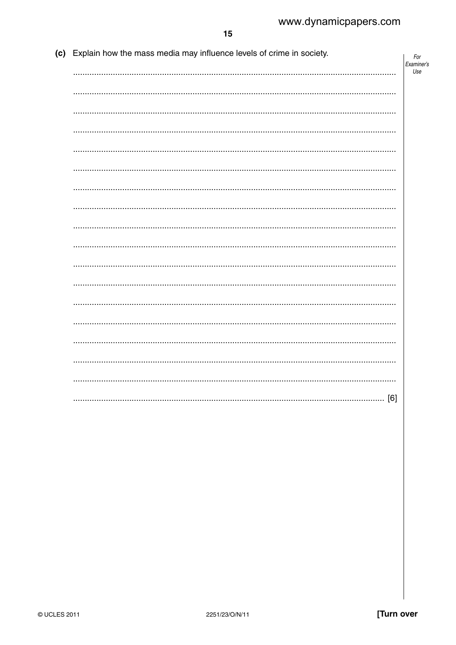| (c) Explain how the mass media may influence levels of crime in society. | For               |
|--------------------------------------------------------------------------|-------------------|
|                                                                          | Examiner's<br>Use |
|                                                                          |                   |
|                                                                          |                   |
|                                                                          |                   |
|                                                                          |                   |
|                                                                          |                   |
|                                                                          |                   |
|                                                                          |                   |
|                                                                          |                   |
|                                                                          |                   |
|                                                                          |                   |
|                                                                          |                   |
|                                                                          |                   |
|                                                                          |                   |
|                                                                          |                   |
|                                                                          |                   |
|                                                                          |                   |
|                                                                          |                   |
|                                                                          |                   |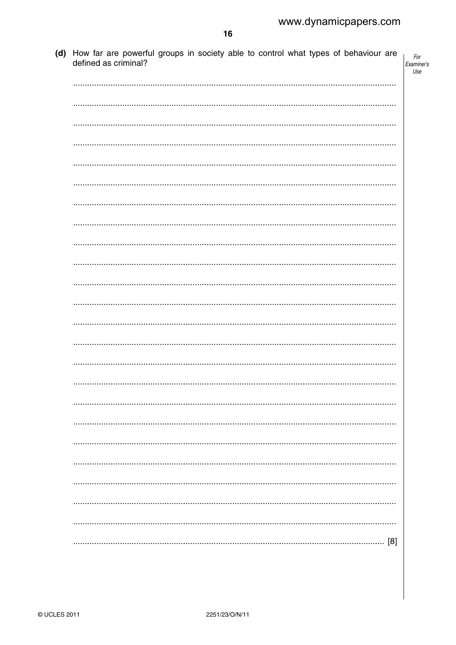| defined as criminal? |  |  | Examiner's |
|----------------------|--|--|------------|
|                      |  |  |            |
|                      |  |  |            |
|                      |  |  |            |
|                      |  |  |            |
|                      |  |  |            |
|                      |  |  |            |
|                      |  |  |            |
|                      |  |  |            |
|                      |  |  |            |
|                      |  |  |            |
|                      |  |  |            |
|                      |  |  |            |
|                      |  |  |            |
|                      |  |  |            |
|                      |  |  |            |
|                      |  |  |            |
|                      |  |  |            |
|                      |  |  |            |
|                      |  |  |            |
|                      |  |  |            |
|                      |  |  |            |
|                      |  |  |            |
|                      |  |  |            |
|                      |  |  |            |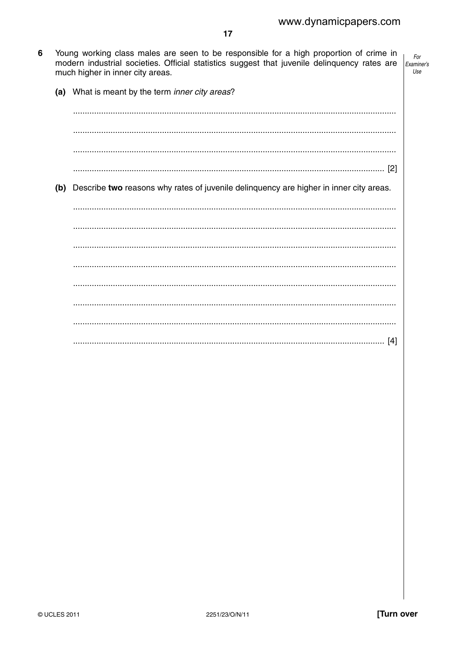- $17$
- Young working class males are seen to be responsible for a high proportion of crime in  $6\phantom{1}$ modern industrial societies. Official statistics suggest that juvenile delinquency rates are much higher in inner city areas.

|     | (a) What is meant by the term <i>inner city areas</i> ?                                |
|-----|----------------------------------------------------------------------------------------|
|     |                                                                                        |
|     |                                                                                        |
|     |                                                                                        |
|     |                                                                                        |
| (b) | Describe two reasons why rates of juvenile delinquency are higher in inner city areas. |
|     |                                                                                        |
|     |                                                                                        |
|     |                                                                                        |
|     |                                                                                        |
|     |                                                                                        |
|     |                                                                                        |
|     |                                                                                        |
|     |                                                                                        |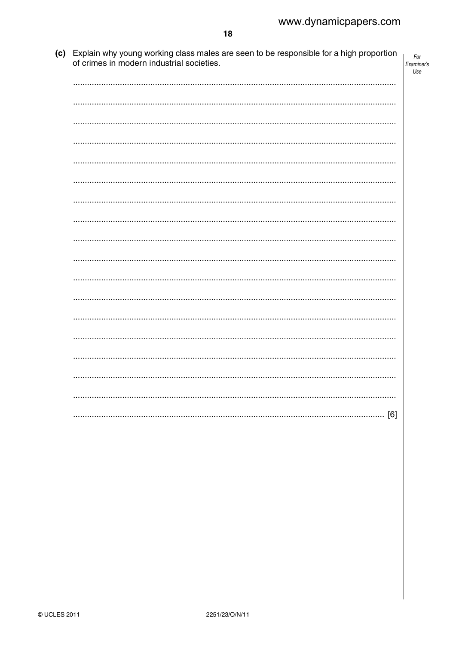- 18
- (c) Explain why young working class males are seen to be responsible for a high proportion of crimes in modern industrial societies.

| [6] |
|-----|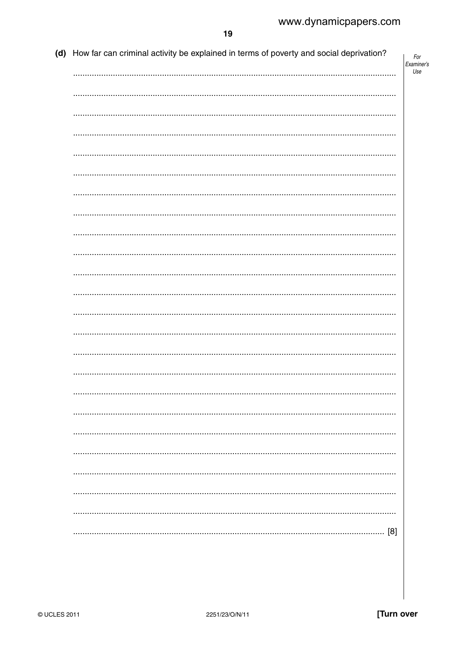| (d) How far can criminal activity be explained in terms of poverty and social deprivation? |
|--------------------------------------------------------------------------------------------|
|                                                                                            |
|                                                                                            |
|                                                                                            |
|                                                                                            |
|                                                                                            |
|                                                                                            |
|                                                                                            |
|                                                                                            |
|                                                                                            |
|                                                                                            |
|                                                                                            |
|                                                                                            |
|                                                                                            |
|                                                                                            |
|                                                                                            |
|                                                                                            |
|                                                                                            |
|                                                                                            |
|                                                                                            |
|                                                                                            |
|                                                                                            |
|                                                                                            |
|                                                                                            |
|                                                                                            |
|                                                                                            |
|                                                                                            |
|                                                                                            |
|                                                                                            |
|                                                                                            |
|                                                                                            |
|                                                                                            |
|                                                                                            |
|                                                                                            |
|                                                                                            |
| $\ldots$ [8]                                                                               |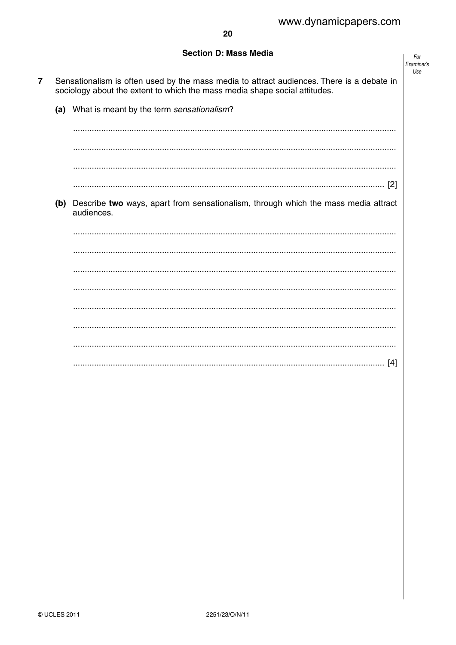Use

#### **Section D: Mass Media**

Examiner's  $\overline{7}$ Sensationalism is often used by the mass media to attract audiences. There is a debate in sociology about the extent to which the mass media shape social attitudes. (a) What is meant by the term sensationalism?  $\overline{a}$ (b) Describe two ways, apart from sensationalism, through which the mass media attract audiences.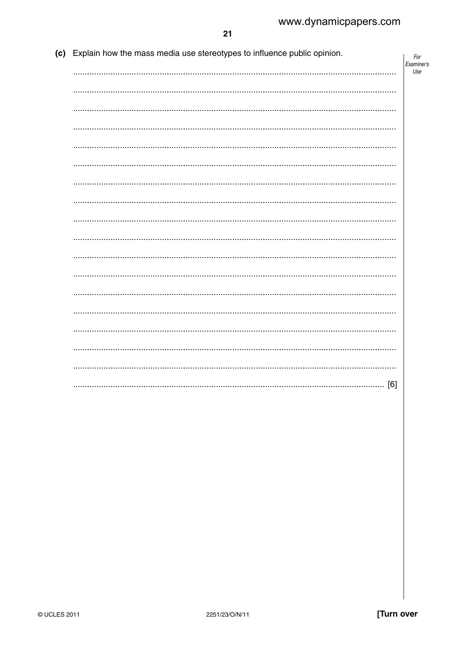| (c) Explain how the mass media use stereotypes to influence public opinion. | For               |
|-----------------------------------------------------------------------------|-------------------|
|                                                                             | Examiner's<br>Use |
|                                                                             |                   |
|                                                                             |                   |
|                                                                             |                   |
|                                                                             |                   |
|                                                                             |                   |
|                                                                             |                   |
|                                                                             |                   |
|                                                                             |                   |
|                                                                             |                   |
|                                                                             |                   |
|                                                                             |                   |
|                                                                             |                   |
|                                                                             |                   |
|                                                                             |                   |
|                                                                             |                   |
|                                                                             |                   |
|                                                                             |                   |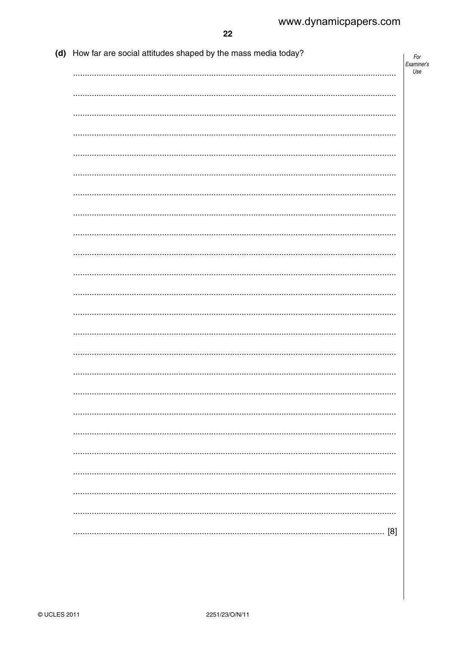| (d) How far are social attitudes shaped by the mass media today? | For               |
|------------------------------------------------------------------|-------------------|
|                                                                  | Examiner's<br>Use |
|                                                                  |                   |
|                                                                  |                   |
|                                                                  |                   |
|                                                                  |                   |
|                                                                  |                   |
|                                                                  |                   |
|                                                                  |                   |
|                                                                  |                   |
|                                                                  |                   |
|                                                                  |                   |
|                                                                  |                   |
|                                                                  |                   |
|                                                                  |                   |
|                                                                  |                   |
|                                                                  |                   |
|                                                                  |                   |
|                                                                  |                   |
|                                                                  |                   |
|                                                                  |                   |
|                                                                  |                   |
|                                                                  |                   |
|                                                                  |                   |
|                                                                  |                   |
| $\ldots$ [8]                                                     |                   |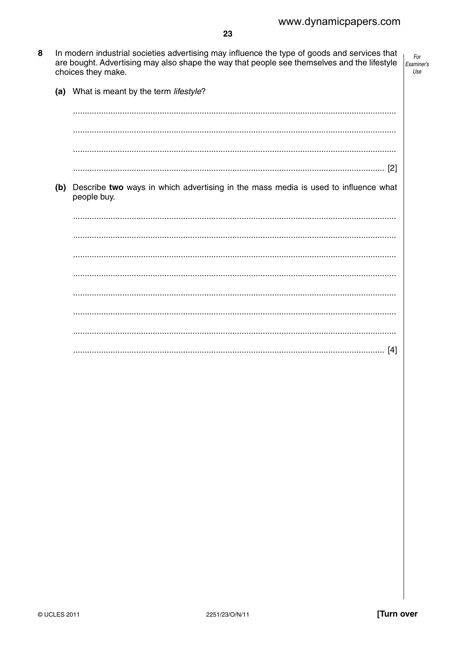- 23
- In modern industrial societies advertising may influence the type of goods and services that are bought. Advertising may also shape the way that people see themselves and the lifestyle 8 choices they make.

| (a) | What is meant by the term lifestyle?                                                              |
|-----|---------------------------------------------------------------------------------------------------|
|     |                                                                                                   |
|     |                                                                                                   |
|     |                                                                                                   |
|     | $[2]$                                                                                             |
| (b) | Describe two ways in which advertising in the mass media is used to influence what<br>people buy. |
|     |                                                                                                   |
|     |                                                                                                   |
|     |                                                                                                   |
|     |                                                                                                   |
|     |                                                                                                   |
|     |                                                                                                   |
|     |                                                                                                   |
|     | $[4]$                                                                                             |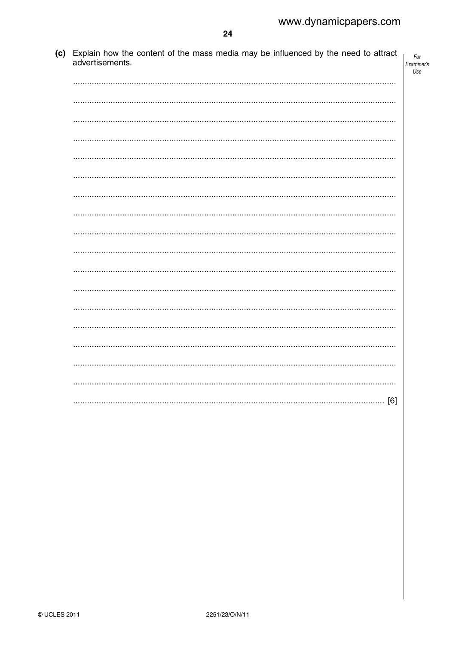| (c) Explain how the content of the mass media may be influenced by the need to attract<br>advertisements. | For<br>Examiner's<br>Use |
|-----------------------------------------------------------------------------------------------------------|--------------------------|
|                                                                                                           |                          |
|                                                                                                           |                          |
|                                                                                                           |                          |
|                                                                                                           |                          |
|                                                                                                           |                          |
|                                                                                                           |                          |
|                                                                                                           |                          |
|                                                                                                           |                          |
|                                                                                                           |                          |
|                                                                                                           |                          |
|                                                                                                           |                          |
|                                                                                                           |                          |
|                                                                                                           |                          |
|                                                                                                           |                          |
|                                                                                                           |                          |
|                                                                                                           |                          |
|                                                                                                           |                          |
|                                                                                                           |                          |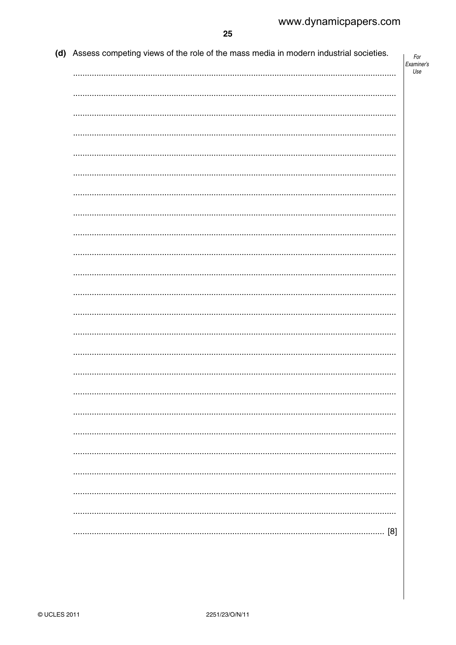| (d) Assess competing views of the role of the mass media in modern industrial societies. |
|------------------------------------------------------------------------------------------|
|                                                                                          |
|                                                                                          |
|                                                                                          |
|                                                                                          |
|                                                                                          |
|                                                                                          |
|                                                                                          |
|                                                                                          |
|                                                                                          |
|                                                                                          |
|                                                                                          |
|                                                                                          |
|                                                                                          |
|                                                                                          |
|                                                                                          |
|                                                                                          |
|                                                                                          |
|                                                                                          |
|                                                                                          |
| . <b>.</b>                                                                               |
| .                                                                                        |
|                                                                                          |
|                                                                                          |
| $\ldots$ [8]                                                                             |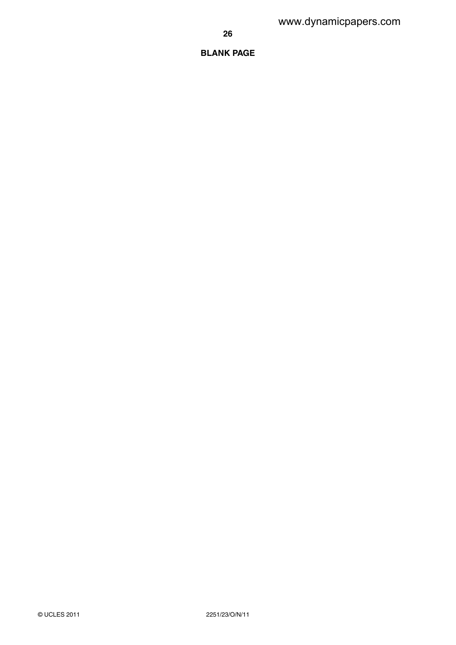# **BLANK PAGE**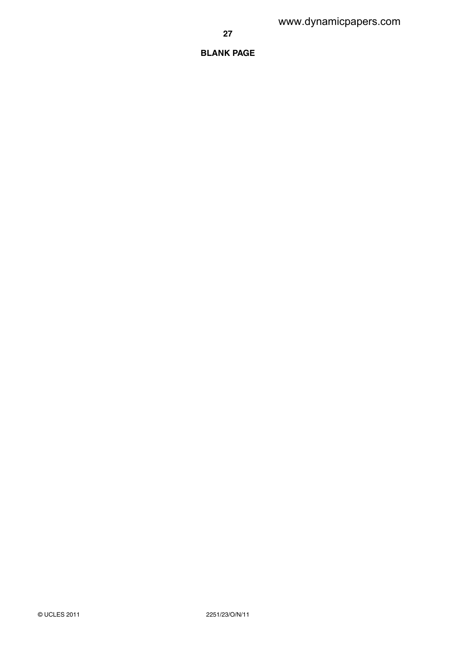# **BLANK PAGE**